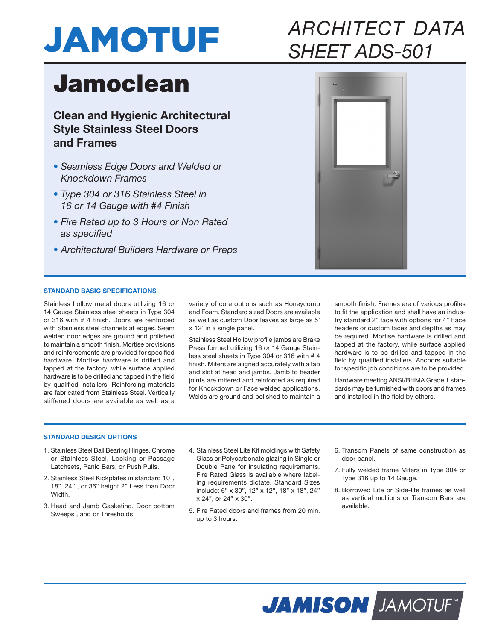

# *ARCHITECT DATA SHEET ADS-501*

# Jamoclean

**Clean and Hygienic Architectural Style Stainless Steel Doors and Frames**

- *Seamless Edge Doors and Welded or Knockdown Frames*
- *Type 304 or 316 Stainless Steel in 16 or 14 Gauge with #4 Finish*
- *Fire Rated up to 3 Hours or Non Rated as specified*
- *Architectural Builders Hardware or Preps*



## **STANDARD BASIC SPECIFICATIONS**

Stainless hollow metal doors utilizing 16 or 14 Gauge Stainless steel sheets in Type 304 or 316 with # 4 finish. Doors are reinforced with Stainless steel channels at edges. Seam welded door edges are ground and polished to maintain a smooth finish. Mortise provisions and reinforcements are provided for specified hardware. Mortise hardware is drilled and tapped at the factory, while surface applied hardware is to be drilled and tapped in the field by qualified installers. Reinforcing materials are fabricated from Stainless Steel. Vertically stiffened doors are available as well as a

variety of core options such as Honeycomb and Foam. Standard sized Doors are available as well as custom Door leaves as large as 5' x 12' in a single panel.

Stainless Steel Hollow profile jambs are Brake Press formed utilizing 16 or 14 Gauge Stainless steel sheets in Type 304 or 316 with # 4 finish. Miters are aligned accurately with a tab and slot at head and jambs. Jamb to header joints are mitered and reinforced as required for Knockdown or Face welded applications. Welds are ground and polished to maintain a

smooth finish. Frames are of various profiles to fit the application and shall have an industry standard 2" face with options for 4" Face headers or custom faces and depths as may be required. Mortise hardware is drilled and tapped at the factory, while surface applied hardware is to be drilled and tapped in the field by qualified installers. Anchors suitable for specific job conditions are to be provided.

Hardware meeting ANSI/BHMA Grade 1 standards may be furnished with doors and frames and installed in the field by others.

### **STANDARD DESIGN OPTIONS**

- 1. Stainless Steel Ball Bearing Hinges, Chrome or Stainless Steel, Locking or Passage Latchsets, Panic Bars, or Push Pulls.
- 2. Stainless Steel Kickplates in standard 10", 18", 24" , or 36" height 2" Less than Door Width.
- 3. Head and Jamb Gasketing, Door bottom Sweeps , and or Thresholds.
- 4. Stainless Steel Lite Kit moldings with Safety Glass or Polycarbonate glazing in Single or Double Pane for insulating requirements. Fire Rated Glass is available where labeling requirements dictate. Standard Sizes include: 6" x 30", 12" x 12", 18" x 18", 24" x 24", or 24" x 30".
- 5. Fire Rated doors and frames from 20 min. up to 3 hours.
- 6. Transom Panels of same construction as door panel.
- 7. Fully welded frame Miters in Type 304 or Type 316 up to 14 Gauge.
- 8. Borrowed Lite or Side-lite frames as well as vertical mullions or Transom Bars are available.

**JAMISON JAMOTUF**